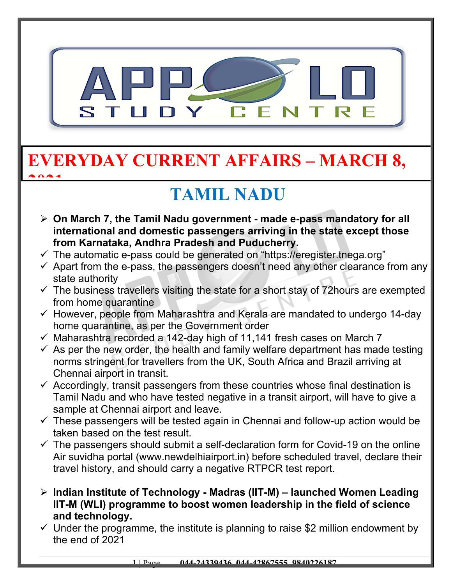

### **EVERYDAY CURRENT AFFAIRS – MARCH 8, 2021**

# **TAMIL NADU**

- **On March 7, the Tamil Nadu government made e-pass mandatory for all international and domestic passengers arriving in the state except those from Karnataka, Andhra Pradesh and Puducherry.**
- $\checkmark$  The automatic e-pass could be generated on "https://eregister.tnega.org"
- $\checkmark$  Apart from the e-pass, the passengers doesn't need any other clearance from any state authority
- $\checkmark$  The business travellers visiting the state for a short stay of 72 hours are exempted from home quarantine
- $\checkmark$  However, people from Maharashtra and Kerala are mandated to undergo 14-day home quarantine, as per the Government order
- $\checkmark$  Maharashtra recorded a 142-day high of 11,141 fresh cases on March 7
- $\checkmark$  As per the new order, the health and family welfare department has made testing norms stringent for travellers from the UK, South Africa and Brazil arriving at Chennai airport in transit.
- $\checkmark$  Accordingly, transit passengers from these countries whose final destination is Tamil Nadu and who have tested negative in a transit airport, will have to give a sample at Chennai airport and leave.
- $\checkmark$  These passengers will be tested again in Chennai and follow-up action would be taken based on the test result.
- $\checkmark$  The passengers should submit a self-declaration form for Covid-19 on the online Air suvidha portal (www.newdelhiairport.in) before scheduled travel, declare their travel history, and should carry a negative RTPCR test report.
- **Indian Institute of Technology Madras (IIT-M) launched Women Leading IIT-M (WLI) programme to boost women leadership in the field of science and technology.**
- $\checkmark$  Under the programme, the institute is planning to raise \$2 million endowment by the end of 2021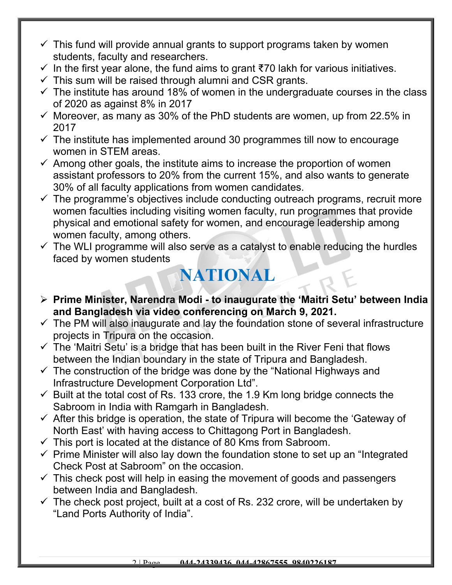- $\checkmark$  This fund will provide annual grants to support programs taken by women students, faculty and researchers.
- $\checkmark$  In the first year alone, the fund aims to grant ₹70 lakh for various initiatives.
- $\checkmark$  This sum will be raised through alumni and CSR grants.
- $\checkmark$  The institute has around 18% of women in the undergraduate courses in the class of 2020 as against 8% in 2017
- $\checkmark$  Moreover, as many as 30% of the PhD students are women, up from 22.5% in 2017
- $\checkmark$  The institute has implemented around 30 programmes till now to encourage women in STEM areas.
- $\checkmark$  Among other goals, the institute aims to increase the proportion of women assistant professors to 20% from the current 15%, and also wants to generate 30% of all faculty applications from women candidates.
- $\checkmark$  The programme's objectives include conducting outreach programs, recruit more women faculties including visiting women faculty, run programmes that provide physical and emotional safety for women, and encourage leadership among women faculty, among others.
- $\checkmark$  The WLI programme will also serve as a catalyst to enable reducing the hurdles faced by women students

## **NATIONAL**

- **Prime Minister, Narendra Modi to inaugurate the 'Maitri Setu' between India and Bangladesh via video conferencing on March 9, 2021.**
- $\checkmark$  The PM will also inaugurate and lay the foundation stone of several infrastructure projects in Tripura on the occasion.
- $\checkmark$  The 'Maitri Setu' is a bridge that has been built in the River Feni that flows between the Indian boundary in the state of Tripura and Bangladesh.
- $\checkmark$  The construction of the bridge was done by the "National Highways and Infrastructure Development Corporation Ltd".
- $\checkmark$  Built at the total cost of Rs. 133 crore, the 1.9 Km long bridge connects the Sabroom in India with Ramgarh in Bangladesh.
- $\checkmark$  After this bridge is operation, the state of Tripura will become the 'Gateway of North East' with having access to Chittagong Port in Bangladesh.
- $\checkmark$  This port is located at the distance of 80 Kms from Sabroom.
- $\checkmark$  Prime Minister will also lay down the foundation stone to set up an "Integrated" Check Post at Sabroom" on the occasion.
- $\checkmark$  This check post will help in easing the movement of goods and passengers between India and Bangladesh.
- $\checkmark$  The check post project, built at a cost of Rs. 232 crore, will be undertaken by "Land Ports Authority of India".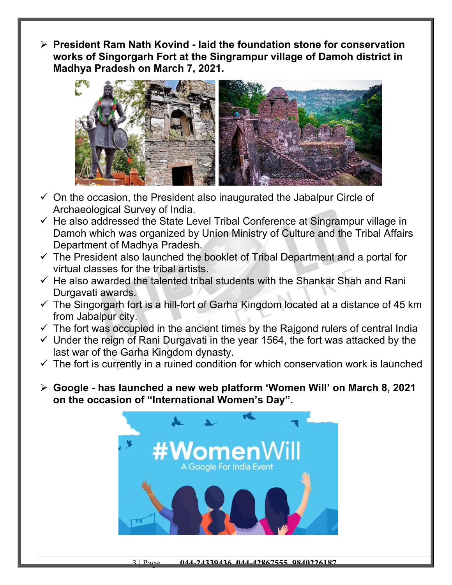**President Ram Nath Kovind - laid the foundation stone for conservation works of Singorgarh Fort at the Singrampur village of Damoh district in Madhya Pradesh on March 7, 2021.**



- $\checkmark$  On the occasion, the President also inaugurated the Jabalpur Circle of Archaeological Survey of India.
- $\checkmark$  He also addressed the State Level Tribal Conference at Singrampur village in Damoh which was organized by Union Ministry of Culture and the Tribal Affairs Department of Madhya Pradesh.
- $\checkmark$  The President also launched the booklet of Tribal Department and a portal for virtual classes for the tribal artists.
- $\checkmark$  He also awarded the talented tribal students with the Shankar Shah and Rani Durgavati awards.
- $\checkmark$  The Singorgarh fort is a hill-fort of Garha Kingdom located at a distance of 45 km from Jabalpur city.
- $\checkmark$  The fort was occupied in the ancient times by the Rajgond rulers of central India
- $\checkmark$  Under the reign of Rani Durgavati in the year 1564, the fort was attacked by the last war of the Garha Kingdom dynasty.
- $\checkmark$  The fort is currently in a ruined condition for which conservation work is launched
- **Google has launched a new web platform 'Women Will' on March 8, 2021 on the occasion of "International Women's Day".**

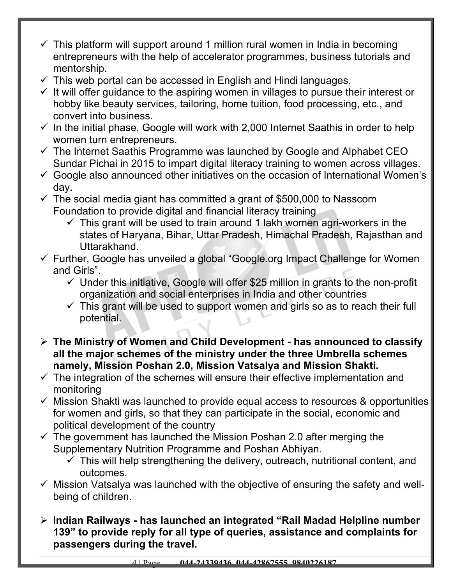- $\checkmark$  This platform will support around 1 million rural women in India in becoming entrepreneurs with the help of accelerator programmes, business tutorials and mentorship.
- $\checkmark$  This web portal can be accessed in English and Hindi languages.
- $\checkmark$  It will offer guidance to the aspiring women in villages to pursue their interest or hobby like beauty services, tailoring, home tuition, food processing, etc., and convert into business.
- $\checkmark$  In the initial phase, Google will work with 2,000 Internet Saathis in order to help women turn entrepreneurs.
- $\checkmark$  The Internet Saathis Programme was launched by Google and Alphabet CEO Sundar Pichai in 2015 to impart digital literacy training to women across villages.
- $\checkmark$  Google also announced other initiatives on the occasion of International Women's day.
- $\checkmark$  The social media giant has committed a grant of \$500,000 to Nasscom Foundation to provide digital and financial literacy training
	- $\checkmark$  This grant will be used to train around 1 lakh women agri-workers in the states of Haryana, Bihar, Uttar Pradesh, Himachal Pradesh, Rajasthan and Uttarakhand.
- $\checkmark$  Further, Google has unveiled a global "Google.org Impact Challenge for Women and Girls".
	- $\checkmark$  Under this initiative, Google will offer \$25 million in grants to the non-profit organization and social enterprises in India and other countries
	- $\checkmark$  This grant will be used to support women and girls so as to reach their full potential.
- **The Ministry of Women and Child Development has announced to classify all the major schemes of the ministry under the three Umbrella schemes namely, Mission Poshan 2.0, Mission Vatsalya and Mission Shakti.**
- $\checkmark$  The integration of the schemes will ensure their effective implementation and monitoring
- $\checkmark$  Mission Shakti was launched to provide equal access to resources & opportunities for women and girls, so that they can participate in the social, economic and political development of the country
- $\checkmark$  The government has launched the Mission Poshan 2.0 after merging the Supplementary Nutrition Programme and Poshan Abhiyan.
	- $\checkmark$  This will help strengthening the delivery, outreach, nutritional content, and outcomes.
- $\checkmark$  Mission Vatsalya was launched with the objective of ensuring the safety and wellbeing of children.
- **Indian Railways has launched an integrated "Rail Madad Helpline number 139" to provide reply for all type of queries, assistance and complaints for passengers during the travel.**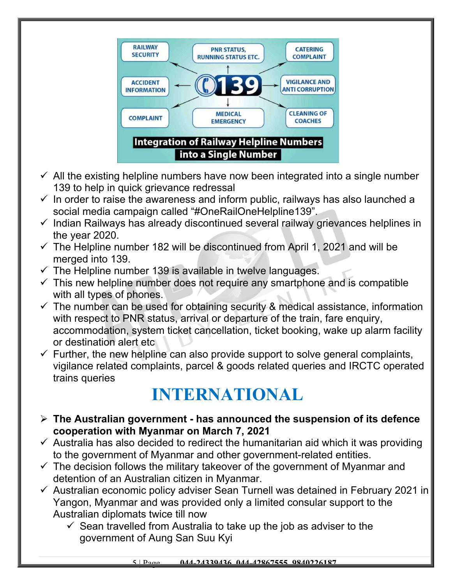

- $\checkmark$  All the existing helpline numbers have now been integrated into a single number 139 to help in quick grievance redressal
- $\checkmark$  In order to raise the awareness and inform public, railways has also launched a social media campaign called "#OneRailOneHelpline139".
- $\checkmark$  Indian Railways has already discontinued several railway grievances helplines in the year 2020.
- $\checkmark$  The Helpline number 182 will be discontinued from April 1, 2021 and will be merged into 139.
- $\checkmark$  The Helpline number 139 is available in twelve languages.
- $\checkmark$  This new helpline number does not require any smartphone and is compatible with all types of phones.
- $\checkmark$  The number can be used for obtaining security & medical assistance, information with respect to PNR status, arrival or departure of the train, fare enquiry, accommodation, system ticket cancellation, ticket booking, wake up alarm facility or destination alert etc
- $\checkmark$  Further, the new helpline can also provide support to solve general complaints, vigilance related complaints, parcel & goods related queries and IRCTC operated trains queries

## **INTERNATIONAL**

- **The Australian government has announced the suspension of its defence cooperation with Myanmar on March 7, 2021**
- $\checkmark$  Australia has also decided to redirect the humanitarian aid which it was providing to the government of Myanmar and other government-related entities.
- $\checkmark$  The decision follows the military takeover of the government of Myanmar and detention of an Australian citizen in Myanmar.
- $\checkmark$  Australian economic policy adviser Sean Turnell was detained in February 2021 in Yangon, Myanmar and was provided only a limited consular support to the Australian diplomats twice till now
	- $\checkmark$  Sean travelled from Australia to take up the job as adviser to the government of Aung San Suu Kyi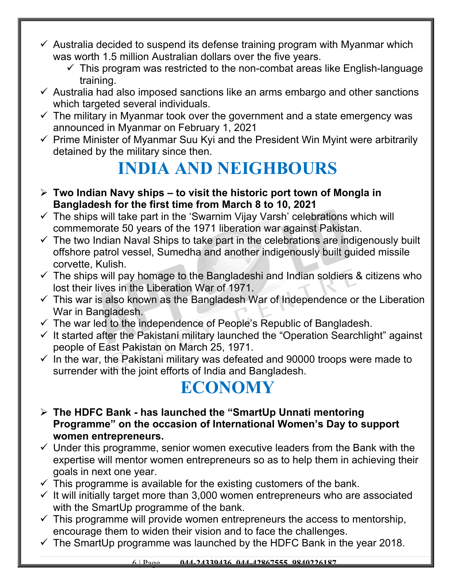- $\checkmark$  Australia decided to suspend its defense training program with Myanmar which was worth 1.5 million Australian dollars over the five years.
	- $\checkmark$  This program was restricted to the non-combat areas like English-language training.
- $\checkmark$  Australia had also imposed sanctions like an arms embargo and other sanctions which targeted several individuals.
- $\checkmark$  The military in Myanmar took over the government and a state emergency was announced in Myanmar on February 1, 2021
- $\checkmark$  Prime Minister of Myanmar Suu Kyi and the President Win Myint were arbitrarily detained by the military since then.

#### **INDIA AND NEIGHBOURS**

- **Two Indian Navy ships to visit the historic port town of Mongla in Bangladesh for the first time from March 8 to 10, 2021**
- $\checkmark$  The ships will take part in the 'Swarnim Vijay Varsh' celebrations which will commemorate 50 years of the 1971 liberation war against Pakistan.
- $\checkmark$  The two Indian Naval Ships to take part in the celebrations are indigenously built offshore patrol vessel, Sumedha and another indigenously built guided missile corvette, Kulish.
- $\checkmark$  The ships will pay homage to the Bangladeshi and Indian soldiers & citizens who lost their lives in the Liberation War of 1971.
- $\checkmark$  This war is also known as the Bangladesh War of Independence or the Liberation War in Bangladesh.
- $\checkmark$  The war led to the independence of People's Republic of Bangladesh.
- $\checkmark$  It started after the Pakistani military launched the "Operation Searchlight" against people of East Pakistan on March 25, 1971.
- $\checkmark$  In the war, the Pakistani military was defeated and 90000 troops were made to surrender with the joint efforts of India and Bangladesh.

#### **ECONOMY**

- **The HDFC Bank has launched the "SmartUp Unnati mentoring Programme" on the occasion of International Women's Day to support women entrepreneurs.**
- $\checkmark$  Under this programme, senior women executive leaders from the Bank with the expertise will mentor women entrepreneurs so as to help them in achieving their goals in next one year.
- $\checkmark$  This programme is available for the existing customers of the bank.
- $\checkmark$  It will initially target more than 3,000 women entrepreneurs who are associated with the SmartUp programme of the bank.
- $\checkmark$  This programme will provide women entrepreneurs the access to mentorship, encourage them to widen their vision and to face the challenges.
- $\checkmark$  The SmartUp programme was launched by the HDFC Bank in the year 2018.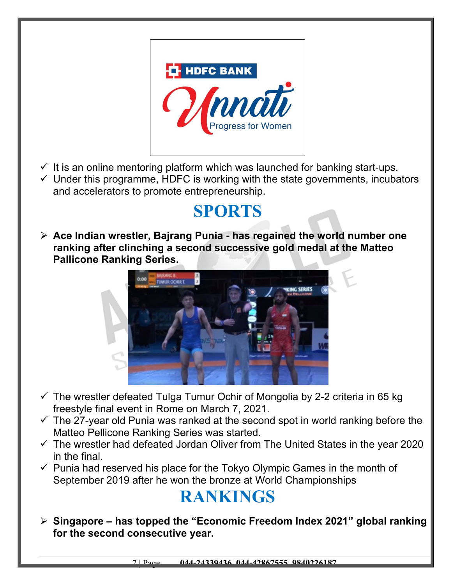

- $\checkmark$  It is an online mentoring platform which was launched for banking start-ups.
- $\checkmark$  Under this programme, HDFC is working with the state governments, incubators and accelerators to promote entrepreneurship.

### **SPORTS**

 **Ace Indian wrestler, Bajrang Punia - has regained the world number one ranking after clinching a second successive gold medal at the Matteo Pallicone Ranking Series.**



- $\checkmark$  The wrestler defeated Tulga Tumur Ochir of Mongolia by 2-2 criteria in 65 kg freestyle final event in Rome on March 7, 2021.
- $\checkmark$  The 27-year old Punia was ranked at the second spot in world ranking before the Matteo Pellicone Ranking Series was started.
- $\checkmark$  The wrestler had defeated Jordan Oliver from The United States in the year 2020 in the final.
- $\checkmark$  Punia had reserved his place for the Tokyo Olympic Games in the month of September 2019 after he won the bronze at World Championships

#### **RANKINGS**

 **Singapore – has topped the "Economic Freedom Index 2021" global ranking for the second consecutive year.**

7 | Page **044-24339436, 044-42867555, 9840226187**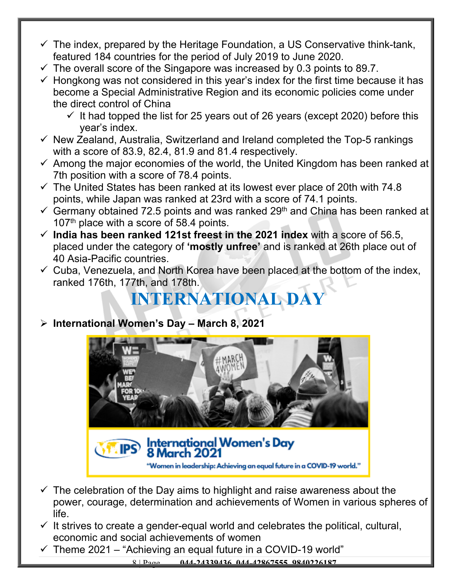- $\checkmark$  The index, prepared by the Heritage Foundation, a US Conservative think-tank, featured 184 countries for the period of July 2019 to June 2020.
- $\checkmark$  The overall score of the Singapore was increased by 0.3 points to 89.7.
- $\checkmark$  Hongkong was not considered in this year's index for the first time because it has become a Special Administrative Region and its economic policies come under the direct control of China
	- $\checkmark$  It had topped the list for 25 years out of 26 years (except 2020) before this year's index.
- $\checkmark$  New Zealand, Australia, Switzerland and Ireland completed the Top-5 rankings with a score of 83.9, 82.4, 81.9 and 81.4 respectively.
- $\checkmark$  Among the major economies of the world, the United Kingdom has been ranked at 7th position with a score of 78.4 points.
- $\checkmark$  The United States has been ranked at its lowest ever place of 20th with 74.8 points, while Japan was ranked at 23rd with a score of 74.1 points.
- $\checkmark$  Germany obtained 72.5 points and was ranked 29<sup>th</sup> and China has been ranked at 107<sup>th</sup> place with a score of 58.4 points.
- **India has been ranked 121st freest in the 2021 index** with a score of 56.5, placed under the category of **'mostly unfree'** and is ranked at 26th place out of 40 Asia-Pacific countries.
- $\checkmark$  Cuba, Venezuela, and North Korea have been placed at the bottom of the index, ranked 176th, 177th, and 178th.

# **INTERNATIONAL DAY**

**International Women's Day – March 8, 2021**



- $\checkmark$  The celebration of the Day aims to highlight and raise awareness about the power, courage, determination and achievements of Women in various spheres of life.
- $\checkmark$  It strives to create a gender-equal world and celebrates the political, cultural, economic and social achievements of women
- $\checkmark$  Theme 2021 "Achieving an equal future in a COVID-19 world"